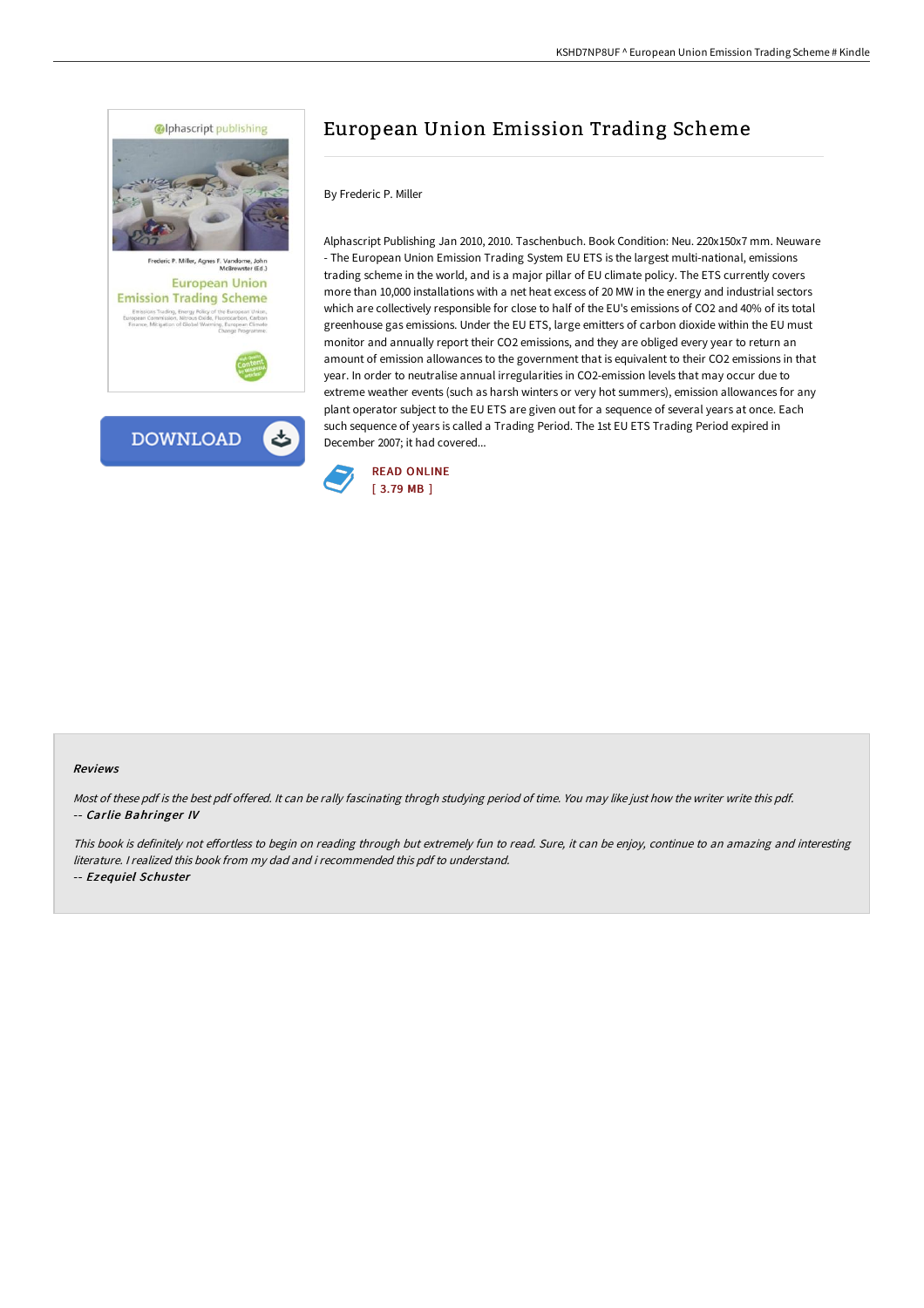

# European Union Emission Trading Scheme

### By Frederic P. Miller

Alphascript Publishing Jan 2010, 2010. Taschenbuch. Book Condition: Neu. 220x150x7 mm. Neuware - The European Union Emission Trading System EU ETS is the largest multi-national, emissions trading scheme in the world, and is a major pillar of EU climate policy. The ETS currently covers more than 10,000 installations with a net heat excess of 20 MW in the energy and industrial sectors which are collectively responsible for close to half of the EU's emissions of CO2 and 40% of its total greenhouse gas emissions. Under the EU ETS, large emitters of carbon dioxide within the EU must monitor and annually report their CO2 emissions, and they are obliged every year to return an amount of emission allowances to the government that is equivalent to their CO2 emissions in that year. In order to neutralise annual irregularities in CO2-emission levels that may occur due to extreme weather events (such as harsh winters or very hot summers), emission allowances for any plant operator subject to the EU ETS are given out for a sequence of several years at once. Each such sequence of years is called a Trading Period. The 1st EU ETS Trading Period expired in December 2007; it had covered...



#### Reviews

Most of these pdf is the best pdf offered. It can be rally fascinating throgh studying period of time. You may like just how the writer write this pdf. -- Carlie Bahringer IV

This book is definitely not effortless to begin on reading through but extremely fun to read. Sure, it can be enjoy, continue to an amazing and interesting literature. I realized this book from my dad and i recommended this pdf to understand. -- Ezequiel Schuster